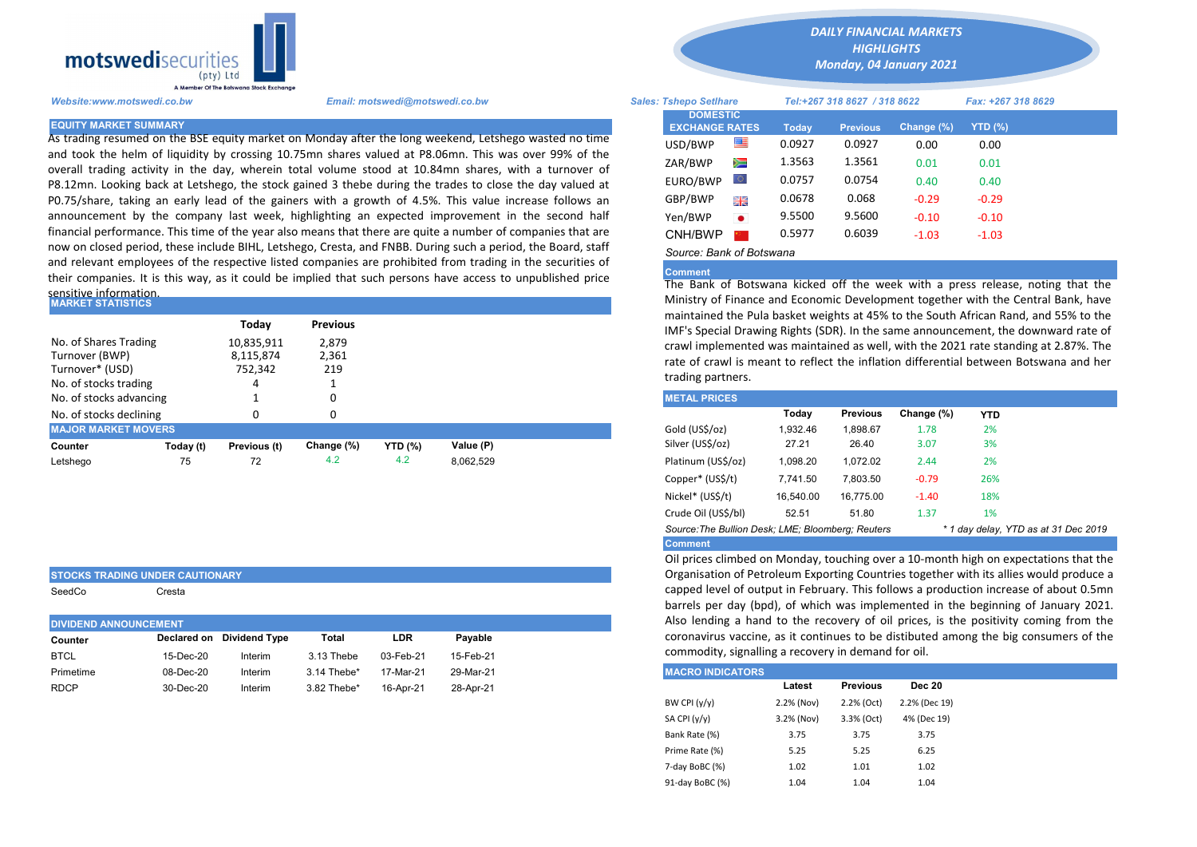

As trading resumed on the BSE equity market on Monday after the long weekend, Letshego wasted no time and took the helm of liquidity by crossing 10.75mn shares valued at P8.06mn. This was over 99% of the overall trading activity in the day, wherein total volume stood at 10.84mn shares, with a turnover of P8.12mn. Looking back at Letshego, the stock gained 3 thebe during the trades to close the day valued at P0.75/share, taking an early lead of the gainers with a growth of 4.5%. This value increase follows an announcement by the company last week, highlighting an expected improvement in the second half financial performance. This time of the year also means that there are quite a number of companies that are now on closed period, these include BIHL, Letshego, Cresta, and FNBB. During such a period, the Board, staff and relevant employees of the respective listed companies are prohibited from trading in the securities of their companies. It is this way, as it could be implied that such persons have access to unpublished price sensitive information.

| <b>MARKET STATISTICS</b>   |           |              |                 | Ministry of Finance and Economic Development together with the Ce<br>maintained the Pula basket weights at 45% to the South African Rand |           |                                                                        |          |                 |            |            |  |
|----------------------------|-----------|--------------|-----------------|------------------------------------------------------------------------------------------------------------------------------------------|-----------|------------------------------------------------------------------------|----------|-----------------|------------|------------|--|
|                            |           | Todav        | <b>Previous</b> |                                                                                                                                          |           | IMF's Special Drawing Rights (SDR). In the same announcement, the d    |          |                 |            |            |  |
| No. of Shares Trading      |           | 10,835,911   | 2.879           |                                                                                                                                          |           | crawl implemented was maintained as well, with the 2021 rate standi    |          |                 |            |            |  |
| Turnover (BWP)             |           | 8,115,874    | 2,361           |                                                                                                                                          |           | rate of crawl is meant to reflect the inflation differential between B |          |                 |            |            |  |
| Turnover* (USD)            |           | 752.342      | 219             |                                                                                                                                          |           |                                                                        |          |                 |            |            |  |
| No. of stocks trading      |           |              |                 |                                                                                                                                          |           | trading partners.                                                      |          |                 |            |            |  |
| No. of stocks advancing    |           |              |                 |                                                                                                                                          |           | <b>METAL PRICES</b>                                                    |          |                 |            |            |  |
| No. of stocks declining    |           |              |                 |                                                                                                                                          |           |                                                                        | Today    | <b>Previous</b> | Change (%) | <b>YTD</b> |  |
| <b>MAJOR MARKET MOVERS</b> |           |              |                 |                                                                                                                                          |           | Gold (US\$/oz)                                                         | 1.932.46 | 1.898.67        | 1.78       | 2%         |  |
| Counter                    | Today (t) | Previous (t) | Change (%)      | <b>YTD</b> (%)                                                                                                                           | Value (P) | Silver (US\$/oz)                                                       | 27.21    | 26.40           | 3.07       | 3%         |  |
| Letshego                   | 75        | 72           | 4.2             | 4.2                                                                                                                                      | 8,062,529 | Platinum (US\$/oz)                                                     | 1,098.20 | 1.072.02        | 2.44       | 2%         |  |
|                            |           |              |                 |                                                                                                                                          |           |                                                                        |          |                 |            |            |  |

| STOCKS TRADING UNDER CAUTIONARY |  |  |
|---------------------------------|--|--|
|                                 |  |  |

SeedCo Cresta

| <b>DIVIDEND ANNOUNCEMENT</b> |           |                           |             |           |           |
|------------------------------|-----------|---------------------------|-------------|-----------|-----------|
| Counter                      |           | Declared on Dividend Type | Total       | LDR       | Pavable   |
| <b>BTCL</b>                  | 15-Dec-20 | Interim                   | 3.13 Thebe  | 03-Feb-21 | 15-Feb-21 |
| Primetime                    | 08-Dec-20 | Interim                   | 3.14 Thebe* | 17-Mar-21 | 29-Mar-21 |
| <b>RDCP</b>                  | 30-Dec-20 | Interim                   | 3.82 Thebe* | 16-Apr-21 | 28-Apr-21 |
|                              |           |                           |             |           |           |

*DAILY FINANCIAL MARKETS*

*HIGHLIGHTS Monday, 04 January 2021* 

| A Member Of the Botswand Stock Exchange |                                                                                                                                                                                                                |                                          |           |              |                              |            |                    |  |
|-----------------------------------------|----------------------------------------------------------------------------------------------------------------------------------------------------------------------------------------------------------------|------------------------------------------|-----------|--------------|------------------------------|------------|--------------------|--|
| Website:www.motswedi.co.bw              | Email: motswedi@motswedi.co.bw                                                                                                                                                                                 | <b>Sales: Tshepo Setlhare</b>            |           |              | Tel:+267 318 8627 / 318 8622 |            | Fax: +267 318 8629 |  |
| <b>EQUITY MARKET SUMMARY</b>            |                                                                                                                                                                                                                | <b>DOMESTIC</b><br><b>EXCHANGE RATES</b> |           | <b>Today</b> | <b>Previous</b>              | Change (%) | YTD (%)            |  |
|                                         | As trading resumed on the BSE equity market on Monday after the long weekend, Letshego wasted no time                                                                                                          | USD/BWP                                  | ≝         | 0.0927       | 0.0927                       | 0.00       | 0.00               |  |
|                                         | and took the helm of liquidity by crossing 10.75mn shares valued at P8.06mn. This was over 99% of the<br>overall trading activity in the day, wherein total volume stood at 10.84mn shares, with a turnover of | ZAR/BWP                                  | Ň         | 1.3563       | 1.3561                       | 0.01       | 0.01               |  |
|                                         | 28.12mn. Looking back at Letshego, the stock gained 3 thebe during the trades to close the day valued at                                                                                                       | EURO/BWP                                 | LO.       | 0.0757       | 0.0754                       | 0.40       | 0.40               |  |
|                                         | 0.75/share, taking an early lead of the gainers with a growth of 4.5%. This value increase follows an                                                                                                          | GBP/BWP                                  | 開業        | 0.0678       | 0.068                        | $-0.29$    | $-0.29$            |  |
|                                         | innouncement by the company last week, highlighting an expected improvement in the second half                                                                                                                 | Yen/BWP                                  | $\bullet$ | 9.5500       | 9.5600                       | $-0.10$    | $-0.10$            |  |
|                                         | inancial performance. This time of the year also means that there are quite a number of companies that are                                                                                                     | CNH/BWP                                  |           | 0.5977       | 0.6039                       | $-1.03$    | $-1.03$            |  |
|                                         | now on closed period, these include BIHL, Letshego, Cresta, and FNBB. During such a period, the Board, staff                                                                                                   | Source: Bank of Botswana                 |           |              |                              |            |                    |  |

## Comment

The Bank of Botswana kicked off the week with a press release, noting that the Ministry of Finance and Economic Development together with the Central Bank, have maintained the Pula basket weights at 45% to the South African Rand, and 55% to the IMF's Special Drawing Rights (SDR). In the same announcement, the downward rate of crawl implemented was maintained as well, with the 2021 rate standing at 2.87%. The rate of crawl is meant to reflect the inflation differential between Botswana and her trading partners.

| <b>METAL PRICES</b>                               |           |                 |            |            |                                      |
|---------------------------------------------------|-----------|-----------------|------------|------------|--------------------------------------|
|                                                   | Today     | <b>Previous</b> | Change (%) | <b>YTD</b> |                                      |
| Gold (US\$/oz)                                    | 1.932.46  | 1.898.67        | 1.78       | 2%         |                                      |
| Silver (US\$/oz)                                  | 27.21     | 26.40           | 3.07       | 3%         |                                      |
| Platinum (US\$/oz)                                | 1.098.20  | 1.072.02        | 2.44       | 2%         |                                      |
| Copper* (US\$/t)                                  | 7.741.50  | 7.803.50        | $-0.79$    | 26%        |                                      |
| Nickel* (US\$/t)                                  | 16,540.00 | 16.775.00       | $-1.40$    | 18%        |                                      |
| Crude Oil (US\$/bl)                               | 52.51     | 51.80           | 1.37       | 1%         |                                      |
| Source: The Bullion Desk; LME; Bloomberg: Reuters |           |                 |            |            | * 1 day delay, YTD as at 31 Dec 2019 |
| <b>Comment</b>                                    |           |                 |            |            |                                      |

Oil prices climbed on Monday, touching over a 10-month high on expectations that the Organisation of Petroleum Exporting Countries together with its allies would produce a capped level of output in February. This follows a production increase of about 0.5mn barrels per day (bpd), of which was implemented in the beginning of January 2021. Also lending a hand to the recovery of oil prices, is the positivity coming from the coronavirus vaccine, as it continues to be distibuted among the big consumers of the commodity, signalling a recovery in demand for oil.

| <b>IMACRO INDICATORS</b> |            |                 |               |
|--------------------------|------------|-----------------|---------------|
|                          | Latest     | <b>Previous</b> | <b>Dec 20</b> |
| BW CPI $(y/y)$           | 2.2% (Nov) | 2.2% (Oct)      | 2.2% (Dec 19) |
| SA CPI (y/y)             | 3.2% (Nov) | 3.3% (Oct)      | 4% (Dec 19)   |
| Bank Rate (%)            | 3.75       | 3.75            | 3.75          |
| Prime Rate (%)           | 5.25       | 5.25            | 6.25          |
| 7-day BoBC (%)           | 1.02       | 1.01            | 1.02          |
| 91-day BoBC (%)          | 1.04       | 1.04            | 1.04          |